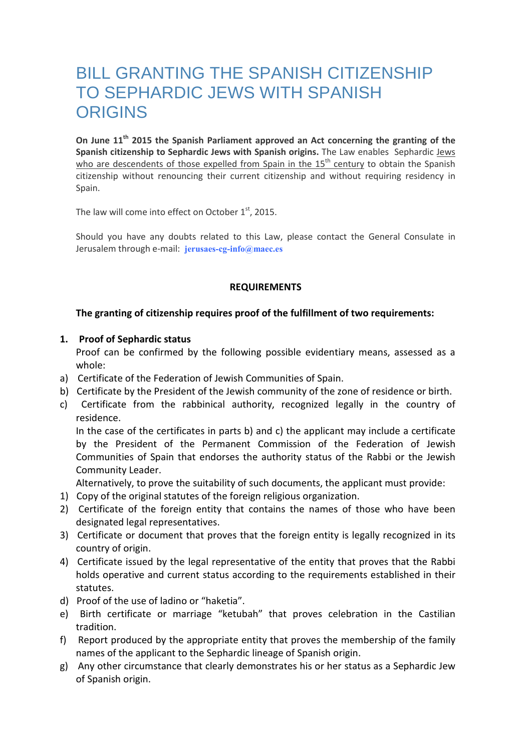# BILL GRANTING THE SPANISH CITIZENSHIP TO SEPHARDIC JEWS WITH SPANISH **ORIGINS**

On June 11<sup>th</sup> 2015 the Spanish Parliament approved an Act concerning the granting of the Spanish citizenship to Sephardic Jews with Spanish origins. The Law enables Sephardic Jews who are descendents of those expelled from Spain in the  $15<sup>th</sup>$  century to obtain the Spanish citizenship without renouncing their current citizenship and without requiring residency in Spain.

The law will come into effect on October  $1<sup>st</sup>$ , 2015.

Should you have any doubts related to this Law, please contact the General Consulate in Jerusalem through e-mail: jerusaes-cg-info@maec.es

# REQUIREMENTS

# The granting of citizenship requires proof of the fulfillment of two requirements:

# 1. Proof of Sephardic status

Proof can be confirmed by the following possible evidentiary means, assessed as a whole:

- a) Certificate of the Federation of Jewish Communities of Spain.
- b) Certificate by the President of the Jewish community of the zone of residence or birth.
- c) Certificate from the rabbinical authority, recognized legally in the country of residence.

In the case of the certificates in parts b) and c) the applicant may include a certificate by the President of the Permanent Commission of the Federation of Jewish Communities of Spain that endorses the authority status of the Rabbi or the Jewish Community Leader.

Alternatively, to prove the suitability of such documents, the applicant must provide:

- 1) Copy of the original statutes of the foreign religious organization.
- 2) Certificate of the foreign entity that contains the names of those who have been designated legal representatives.
- 3) Certificate or document that proves that the foreign entity is legally recognized in its country of origin.
- 4) Certificate issued by the legal representative of the entity that proves that the Rabbi holds operative and current status according to the requirements established in their statutes.
- d) Proof of the use of ladino or "haketia".
- e) Birth certificate or marriage "ketubah" that proves celebration in the Castilian tradition.
- f) Report produced by the appropriate entity that proves the membership of the family names of the applicant to the Sephardic lineage of Spanish origin.
- g) Any other circumstance that clearly demonstrates his or her status as a Sephardic Jew of Spanish origin.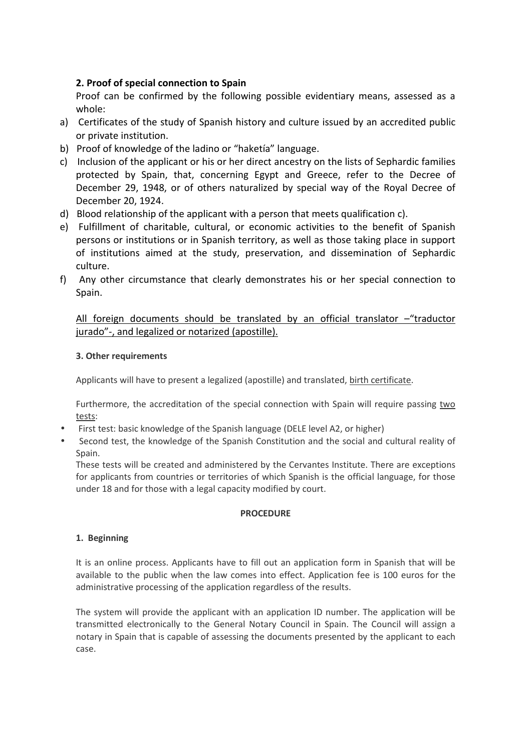# 2. Proof of special connection to Spain

Proof can be confirmed by the following possible evidentiary means, assessed as a whole:

- a) Certificates of the study of Spanish history and culture issued by an accredited public or private institution.
- b) Proof of knowledge of the ladino or "haketía" language.
- c) Inclusion of the applicant or his or her direct ancestry on the lists of Sephardic families protected by Spain, that, concerning Egypt and Greece, refer to the Decree of December 29, 1948, or of others naturalized by special way of the Royal Decree of December 20, 1924.
- d) Blood relationship of the applicant with a person that meets qualification c).
- e) Fulfillment of charitable, cultural, or economic activities to the benefit of Spanish persons or institutions or in Spanish territory, as well as those taking place in support of institutions aimed at the study, preservation, and dissemination of Sephardic culture.
- f) Any other circumstance that clearly demonstrates his or her special connection to Spain.

# All foreign documents should be translated by an official translator –"traductor jurado"-, and legalized or notarized (apostille).

#### 3. Other requirements

Applicants will have to present a legalized (apostille) and translated, birth certificate.

Furthermore, the accreditation of the special connection with Spain will require passing two tests:

- First test: basic knowledge of the Spanish language (DELE level A2, or higher)
- Second test, the knowledge of the Spanish Constitution and the social and cultural reality of Spain.

These tests will be created and administered by the Cervantes Institute. There are exceptions for applicants from countries or territories of which Spanish is the official language, for those under 18 and for those with a legal capacity modified by court.

#### **PROCEDURE**

# 1. Beginning

It is an online process. Applicants have to fill out an application form in Spanish that will be available to the public when the law comes into effect. Application fee is 100 euros for the administrative processing of the application regardless of the results.

The system will provide the applicant with an application ID number. The application will be transmitted electronically to the General Notary Council in Spain. The Council will assign a notary in Spain that is capable of assessing the documents presented by the applicant to each case.